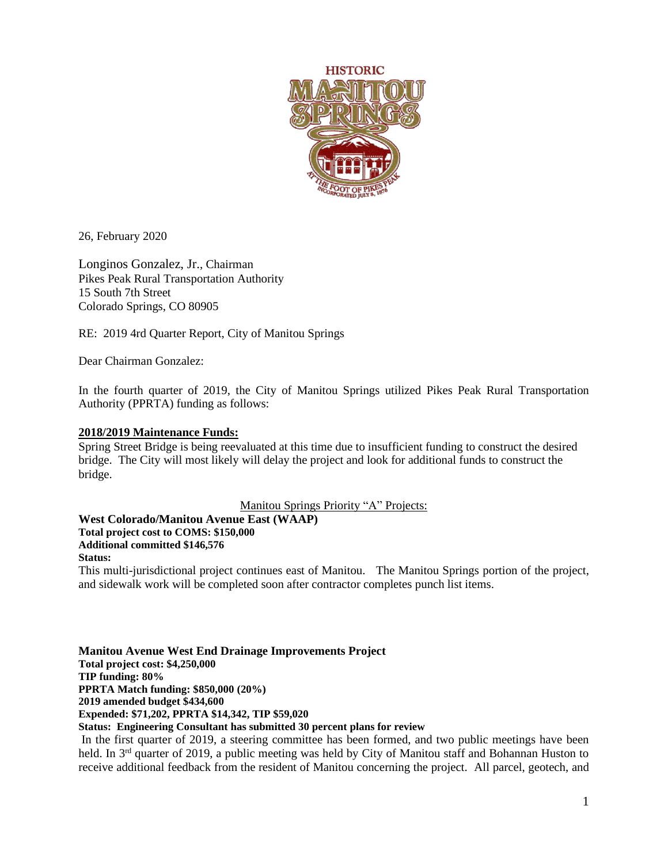

26, February 2020

Longinos Gonzalez, Jr., Chairman Pikes Peak Rural Transportation Authority 15 South 7th Street Colorado Springs, CO 80905

RE: 2019 4rd Quarter Report, City of Manitou Springs

Dear Chairman Gonzalez:

In the fourth quarter of 2019, the City of Manitou Springs utilized Pikes Peak Rural Transportation Authority (PPRTA) funding as follows:

### **2018/2019 Maintenance Funds:**

Spring Street Bridge is being reevaluated at this time due to insufficient funding to construct the desired bridge. The City will most likely will delay the project and look for additional funds to construct the bridge.

Manitou Springs Priority "A" Projects:

**West Colorado/Manitou Avenue East (WAAP)**

**Total project cost to COMS: \$150,000**

**Additional committed \$146,576**

# **Status:**

This multi-jurisdictional project continues east of Manitou. The Manitou Springs portion of the project, and sidewalk work will be completed soon after contractor completes punch list items.

**Manitou Avenue West End Drainage Improvements Project Total project cost: \$4,250,000 TIP funding: 80% PPRTA Match funding: \$850,000 (20%) 2019 amended budget \$434,600 Expended: \$71,202, PPRTA \$14,342, TIP \$59,020 Status: Engineering Consultant has submitted 30 percent plans for review**

In the first quarter of 2019, a steering committee has been formed, and two public meetings have been held. In 3<sup>rd</sup> quarter of 2019, a public meeting was held by City of Manitou staff and Bohannan Huston to receive additional feedback from the resident of Manitou concerning the project. All parcel, geotech, and